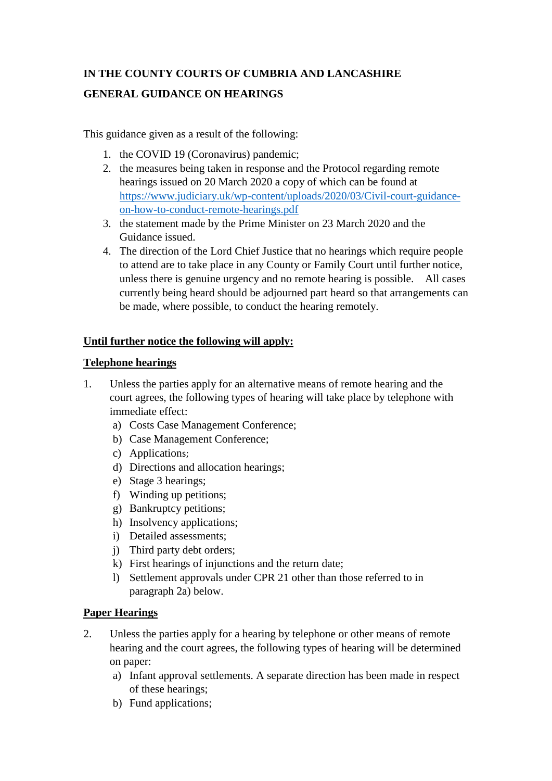# **IN THE COUNTY COURTS OF CUMBRIA AND LANCASHIRE GENERAL GUIDANCE ON HEARINGS**

This guidance given as a result of the following:

- 1. the COVID 19 (Coronavirus) pandemic;
- 2. the measures being taken in response and the Protocol regarding remote hearings issued on 20 March 2020 a copy of which can be found at [https://www.judiciary.uk/wp-content/uploads/2020/03/Civil-court-guidance](https://www.judiciary.uk/wp-content/uploads/2020/03/Civil-court-guidance-on-how-to-conduct-remote-hearings.pdf)[on-how-to-conduct-remote-hearings.pdf](https://www.judiciary.uk/wp-content/uploads/2020/03/Civil-court-guidance-on-how-to-conduct-remote-hearings.pdf)
- 3. the statement made by the Prime Minister on 23 March 2020 and the Guidance issued.
- 4. The direction of the Lord Chief Justice that no hearings which require people to attend are to take place in any County or Family Court until further notice, unless there is genuine urgency and no remote hearing is possible. All cases currently being heard should be adjourned part heard so that arrangements can be made, where possible, to conduct the hearing remotely.

## **Until further notice the following will apply:**

#### **Telephone hearings**

- 1. Unless the parties apply for an alternative means of remote hearing and the court agrees, the following types of hearing will take place by telephone with immediate effect:
	- a) Costs Case Management Conference;
	- b) Case Management Conference;
	- c) Applications;
	- d) Directions and allocation hearings;
	- e) Stage 3 hearings;
	- f) Winding up petitions;
	- g) Bankruptcy petitions;
	- h) Insolvency applications;
	- i) Detailed assessments;
	- j) Third party debt orders;
	- k) First hearings of injunctions and the return date;
	- l) Settlement approvals under CPR 21 other than those referred to in paragraph 2a) below.

#### **Paper Hearings**

- 2. Unless the parties apply for a hearing by telephone or other means of remote hearing and the court agrees, the following types of hearing will be determined on paper:
	- a) Infant approval settlements. A separate direction has been made in respect of these hearings;
	- b) Fund applications;